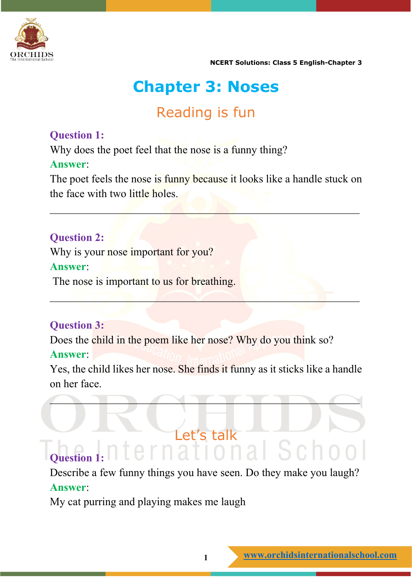

# **Chapter 3: Noses**

# Reading is fun

#### **Question 1:**

Why does the poet feel that the nose is a funny thing?

#### **Answer**:

The poet feels the nose is funny because it looks like a handle stuck on the face with two little holes.

\_\_\_\_\_\_\_\_\_\_\_\_\_\_\_\_\_\_\_\_\_\_\_\_\_\_\_\_\_\_\_\_\_\_\_\_\_\_\_\_\_\_\_\_\_\_\_\_\_\_\_\_\_\_\_\_

 $\mathcal{L} = \mathcal{L} \cup \{ \mathcal{L} \}$  and  $\mathcal{L} = \{ \mathcal{L} \}$  and  $\mathcal{L} = \{ \mathcal{L} \}$ 

## **Question 2:**

Why is your nose important for you?

#### **Answer**:

The nose is important to us for breathing.

# **Question 3:**

Does the child in the poem like her nose? Why do you think so? **Answer**:

Yes, the child likes her nose. She finds it funny as it sticks like a handle on her face.

 $\bigcap_{i=1}^n A_i$  ,  $\bigcap_{i=1}^n A_i$  ,  $\bigcap_{i=1}^n A_i$  ,  $\bigcap_{i=1}^n A_i$ 

# **Question 1:**

Describe a few funny things you have seen. Do they make you laugh? **Answer**:

Prinational Schoo

My cat purring and playing makes me laugh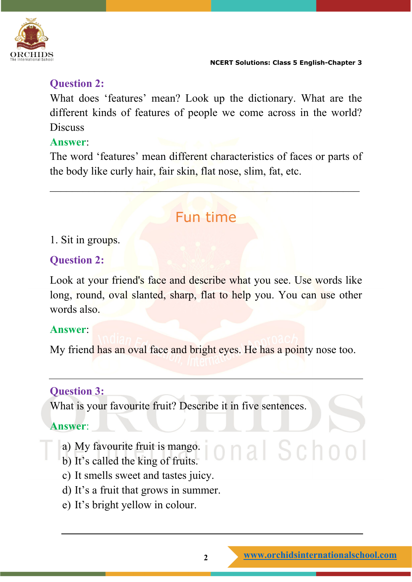

## **Question 2:**

What does 'features' mean? Look up the dictionary. What are the different kinds of features of people we come across in the world? **Discuss** 

#### **Answer**:

The word 'features' mean different characteristics of faces or parts of the body like curly hair, fair skin, flat nose, slim, fat, etc.

 $\mathcal{L}=\mathcal{L}=\mathcal{L}=\mathcal{L}=\mathcal{L}=\mathcal{L}=\mathcal{L}=\mathcal{L}=\mathcal{L}=\mathcal{L}=\mathcal{L}=\mathcal{L}=\mathcal{L}=\mathcal{L}=\mathcal{L}=\mathcal{L}=\mathcal{L}=\mathcal{L}=\mathcal{L}=\mathcal{L}=\mathcal{L}=\mathcal{L}=\mathcal{L}=\mathcal{L}=\mathcal{L}=\mathcal{L}=\mathcal{L}=\mathcal{L}=\mathcal{L}=\mathcal{L}=\mathcal{L}=\mathcal{L}=\mathcal{L}=\mathcal{L}=\mathcal{L}=\mathcal{L}=\mathcal{$ 

# Fun time

#### 1. Sit in groups.

#### **Question 2:**

Look at your friend's face and describe what you see. Use words like long, round, oval slanted, sharp, flat to help you. You can use other words also.

#### **Answer**:

My friend has an oval face and bright eyes. He has a pointy nose too.

# **Question 3:**

What is your favourite fruit? Describe it in five sentences.

# **Answer**:

- a) My favourite fruit is mango.
- b) It's called the king of fruits.
- c) It smells sweet and tastes juicy.
- d) It's a fruit that grows in summer.
- e) It's bright yellow in colour.

onal School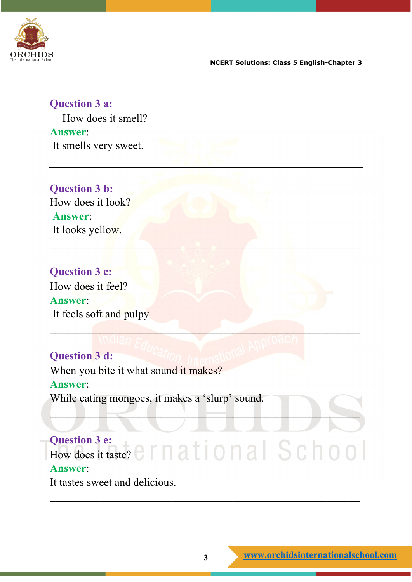

#### **Question 3 a:**

How does it smell? **Answer**: It smells very sweet.

**Question 3 b:** How does it look? **Answer**: It looks yellow.

# **Question 3 c:** How does it feel? **Answer**: It feels soft and pulpy

**Question 3 d:** When you bite it what sound it makes? **Answer**: While eating mongoes, it makes a 'slurp' sound.

**Question 3 e:** Question 3 e:<br>How does it taste? C  $\Gamma$  n a t i o n a | S c h o o | **Answer**: It tastes sweet and delicious.

 $\_$  , and the set of the set of the set of the set of the set of the set of the set of the set of the set of the set of the set of the set of the set of the set of the set of the set of the set of the set of the set of th

 $\mathcal{L}_\mathcal{L}$  , and the set of the set of the set of the set of the set of the set of the set of the set of the set of the set of the set of the set of the set of the set of the set of the set of the set of the set of th

 $\mathcal{L} = \{ \mathcal{L} \mid \mathcal{L} \in \mathcal{L} \}$  , which is the set of  $\mathcal{L} \left( \mathcal{L} \right)$ 

 $\mathcal{L}_\text{max}$  and  $\mathcal{L}_\text{max}$  and  $\mathcal{L}_\text{max}$  and  $\mathcal{L}_\text{max}$  and  $\mathcal{L}_\text{max}$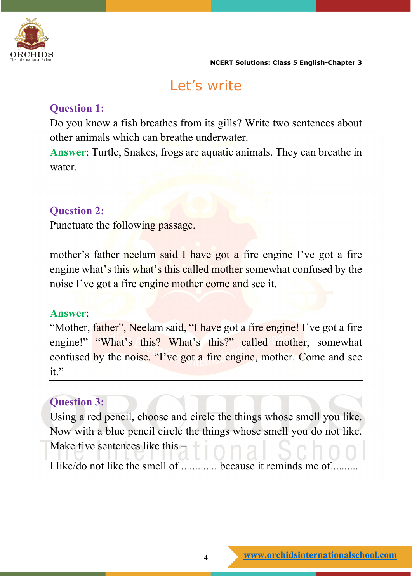

# Let's write

### **Question 1:**

Do you know a fish breathes from its gills? Write two sentences about other animals which can breathe underwater.

**Answer**: Turtle, Snakes, frogs are aquatic animals. They can breathe in water.

## **Question 2:**

Punctuate the following passage.

mother's father neelam said I have got a fire engine I've got a fire engine what's this what's this called mother somewhat confused by the noise I've got a fire engine mother come and see it.

#### **Answer**:

"Mother, father", Neelam said, "I have got a fire engine! I've got a fire engine!" "What's this? What's this?" called mother, somewhat confused by the noise. "I've got a fire engine, mother. Come and see it."

#### **Question 3:**

Using a red pencil, choose and circle the things whose smell you like. Now with a blue pencil circle the things whose smell you do not like. Make five sentences like this –

I like/do not like the smell of ............. because it reminds me of..........